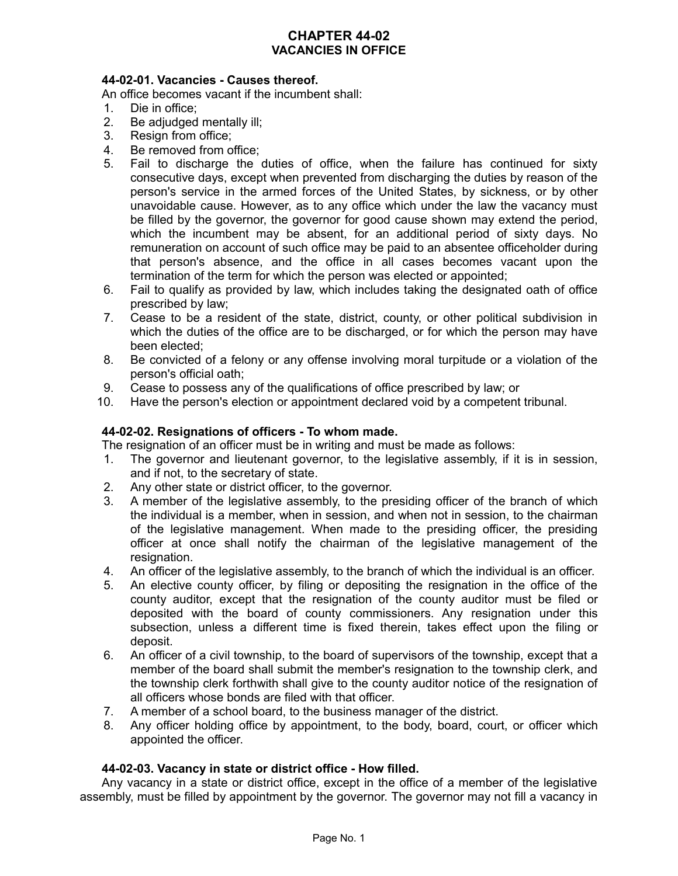# **CHAPTER 44-02 VACANCIES IN OFFICE**

## **44-02-01. Vacancies - Causes thereof.**

An office becomes vacant if the incumbent shall:

- 1. Die in office;
- 2. Be adjudged mentally ill;
- 3. Resign from office;
- 4. Be removed from office;
- 5. Fail to discharge the duties of office, when the failure has continued for sixty consecutive days, except when prevented from discharging the duties by reason of the person's service in the armed forces of the United States, by sickness, or by other unavoidable cause. However, as to any office which under the law the vacancy must be filled by the governor, the governor for good cause shown may extend the period, which the incumbent may be absent, for an additional period of sixty days. No remuneration on account of such office may be paid to an absentee officeholder during that person's absence, and the office in all cases becomes vacant upon the termination of the term for which the person was elected or appointed;
- 6. Fail to qualify as provided by law, which includes taking the designated oath of office prescribed by law;
- 7. Cease to be a resident of the state, district, county, or other political subdivision in which the duties of the office are to be discharged, or for which the person may have been elected;
- 8. Be convicted of a felony or any offense involving moral turpitude or a violation of the person's official oath;
- 9. Cease to possess any of the qualifications of office prescribed by law; or
- 10. Have the person's election or appointment declared void by a competent tribunal.

## **44-02-02. Resignations of officers - To whom made.**

The resignation of an officer must be in writing and must be made as follows:

- 1. The governor and lieutenant governor, to the legislative assembly, if it is in session, and if not, to the secretary of state.
- 2. Any other state or district officer, to the governor.
- 3. A member of the legislative assembly, to the presiding officer of the branch of which the individual is a member, when in session, and when not in session, to the chairman of the legislative management. When made to the presiding officer, the presiding officer at once shall notify the chairman of the legislative management of the resignation.
- 4. An officer of the legislative assembly, to the branch of which the individual is an officer.
- 5. An elective county officer, by filing or depositing the resignation in the office of the county auditor, except that the resignation of the county auditor must be filed or deposited with the board of county commissioners. Any resignation under this subsection, unless a different time is fixed therein, takes effect upon the filing or deposit.
- 6. An officer of a civil township, to the board of supervisors of the township, except that a member of the board shall submit the member's resignation to the township clerk, and the township clerk forthwith shall give to the county auditor notice of the resignation of all officers whose bonds are filed with that officer.
- 7. A member of a school board, to the business manager of the district.
- 8. Any officer holding office by appointment, to the body, board, court, or officer which appointed the officer.

#### **44-02-03. Vacancy in state or district office - How filled.**

Any vacancy in a state or district office, except in the office of a member of the legislative assembly, must be filled by appointment by the governor. The governor may not fill a vacancy in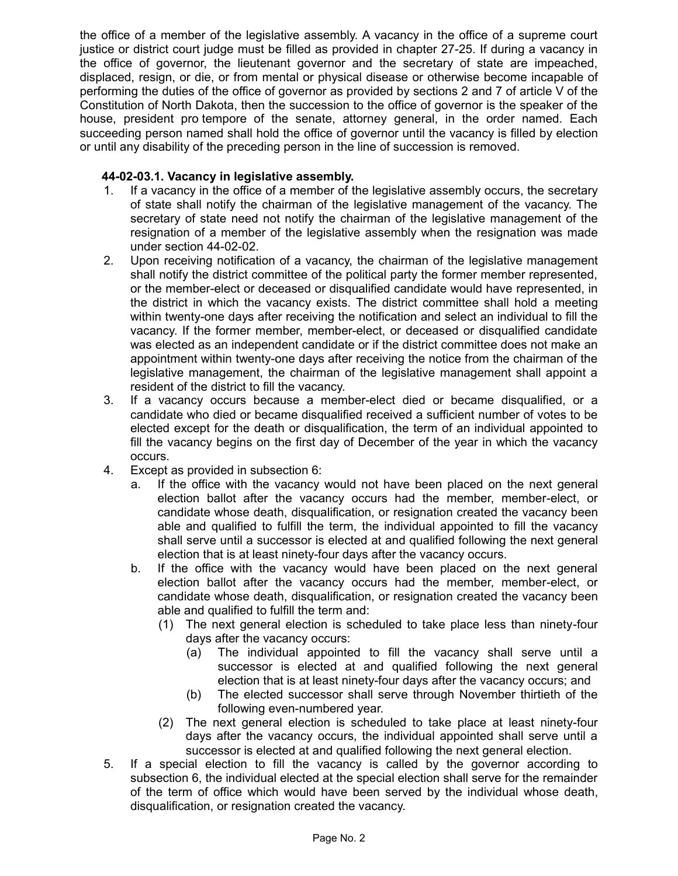the office of a member of the legislative assembly. A vacancy in the office of a supreme court justice or district court judge must be filled as provided in chapter 27-25. If during a vacancy in the office of governor, the lieutenant governor and the secretary of state are impeached, displaced, resign, or die, or from mental or physical disease or otherwise become incapable of performing the duties of the office of governor as provided by sections 2 and 7 of article V of the Constitution of North Dakota, then the succession to the office of governor is the speaker of the house, president pro tempore of the senate, attorney general, in the order named. Each succeeding person named shall hold the office of governor until the vacancy is filled by election or until any disability of the preceding person in the line of succession is removed.

# **44-02-03.1. Vacancy in legislative assembly.**

- 1. If a vacancy in the office of a member of the legislative assembly occurs, the secretary of state shall notify the chairman of the legislative management of the vacancy. The secretary of state need not notify the chairman of the legislative management of the resignation of a member of the legislative assembly when the resignation was made under section 44-02-02.
- 2. Upon receiving notification of a vacancy, the chairman of the legislative management shall notify the district committee of the political party the former member represented, or the member-elect or deceased or disqualified candidate would have represented, in the district in which the vacancy exists. The district committee shall hold a meeting within twenty-one days after receiving the notification and select an individual to fill the vacancy. If the former member, member-elect, or deceased or disqualified candidate was elected as an independent candidate or if the district committee does not make an appointment within twenty-one days after receiving the notice from the chairman of the legislative management, the chairman of the legislative management shall appoint a resident of the district to fill the vacancy.
- 3. If a vacancy occurs because a member-elect died or became disqualified, or a candidate who died or became disqualified received a sufficient number of votes to be elected except for the death or disqualification, the term of an individual appointed to fill the vacancy begins on the first day of December of the year in which the vacancy occurs.
- 4. Except as provided in subsection 6:
	- a. If the office with the vacancy would not have been placed on the next general election ballot after the vacancy occurs had the member, member-elect, or candidate whose death, disqualification, or resignation created the vacancy been able and qualified to fulfill the term, the individual appointed to fill the vacancy shall serve until a successor is elected at and qualified following the next general election that is at least ninety-four days after the vacancy occurs.
	- b. If the office with the vacancy would have been placed on the next general election ballot after the vacancy occurs had the member, member-elect, or candidate whose death, disqualification, or resignation created the vacancy been able and qualified to fulfill the term and:
		- (1) The next general election is scheduled to take place less than ninety-four days after the vacancy occurs:
			- (a) The individual appointed to fill the vacancy shall serve until a successor is elected at and qualified following the next general election that is at least ninety-four days after the vacancy occurs; and
			- (b) The elected successor shall serve through November thirtieth of the following even-numbered year.
		- (2) The next general election is scheduled to take place at least ninety-four days after the vacancy occurs, the individual appointed shall serve until a successor is elected at and qualified following the next general election.
- 5. If a special election to fill the vacancy is called by the governor according to subsection 6, the individual elected at the special election shall serve for the remainder of the term of office which would have been served by the individual whose death, disqualification, or resignation created the vacancy.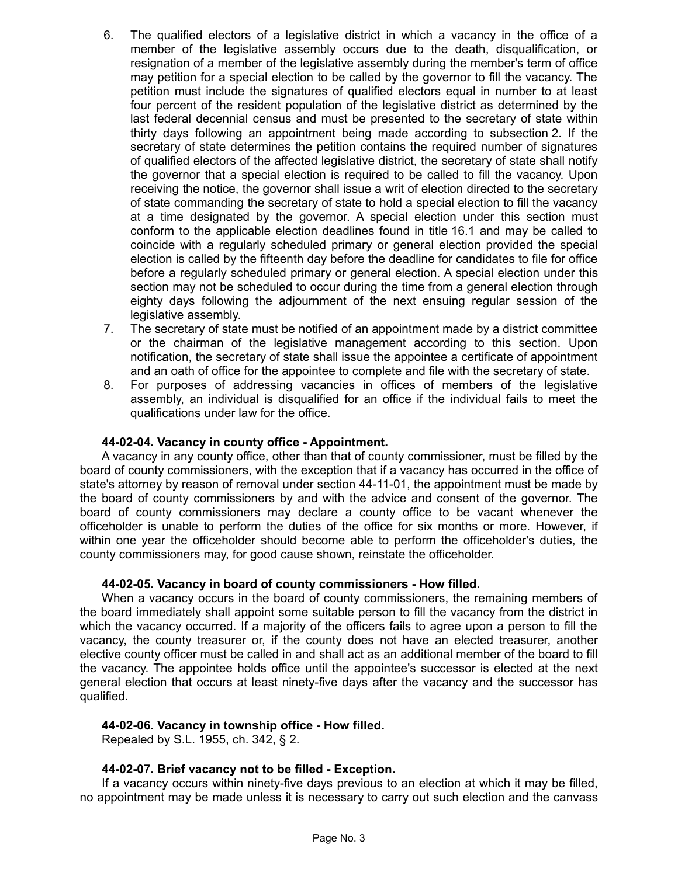- 6. The qualified electors of a legislative district in which a vacancy in the office of a member of the legislative assembly occurs due to the death, disqualification, or resignation of a member of the legislative assembly during the member's term of office may petition for a special election to be called by the governor to fill the vacancy. The petition must include the signatures of qualified electors equal in number to at least four percent of the resident population of the legislative district as determined by the last federal decennial census and must be presented to the secretary of state within thirty days following an appointment being made according to subsection 2. If the secretary of state determines the petition contains the required number of signatures of qualified electors of the affected legislative district, the secretary of state shall notify the governor that a special election is required to be called to fill the vacancy. Upon receiving the notice, the governor shall issue a writ of election directed to the secretary of state commanding the secretary of state to hold a special election to fill the vacancy at a time designated by the governor. A special election under this section must conform to the applicable election deadlines found in title 16.1 and may be called to coincide with a regularly scheduled primary or general election provided the special election is called by the fifteenth day before the deadline for candidates to file for office before a regularly scheduled primary or general election. A special election under this section may not be scheduled to occur during the time from a general election through eighty days following the adjournment of the next ensuing regular session of the legislative assembly.
- 7. The secretary of state must be notified of an appointment made by a district committee or the chairman of the legislative management according to this section. Upon notification, the secretary of state shall issue the appointee a certificate of appointment and an oath of office for the appointee to complete and file with the secretary of state.
- 8. For purposes of addressing vacancies in offices of members of the legislative assembly, an individual is disqualified for an office if the individual fails to meet the qualifications under law for the office.

#### **44-02-04. Vacancy in county office - Appointment.**

A vacancy in any county office, other than that of county commissioner, must be filled by the board of county commissioners, with the exception that if a vacancy has occurred in the office of state's attorney by reason of removal under section 44-11-01, the appointment must be made by the board of county commissioners by and with the advice and consent of the governor. The board of county commissioners may declare a county office to be vacant whenever the officeholder is unable to perform the duties of the office for six months or more. However, if within one year the officeholder should become able to perform the officeholder's duties, the county commissioners may, for good cause shown, reinstate the officeholder.

#### **44-02-05. Vacancy in board of county commissioners - How filled.**

When a vacancy occurs in the board of county commissioners, the remaining members of the board immediately shall appoint some suitable person to fill the vacancy from the district in which the vacancy occurred. If a majority of the officers fails to agree upon a person to fill the vacancy, the county treasurer or, if the county does not have an elected treasurer, another elective county officer must be called in and shall act as an additional member of the board to fill the vacancy. The appointee holds office until the appointee's successor is elected at the next general election that occurs at least ninety-five days after the vacancy and the successor has qualified.

## **44-02-06. Vacancy in township office - How filled.**

Repealed by S.L. 1955, ch. 342, § 2.

#### **44-02-07. Brief vacancy not to be filled - Exception.**

If a vacancy occurs within ninety-five days previous to an election at which it may be filled, no appointment may be made unless it is necessary to carry out such election and the canvass